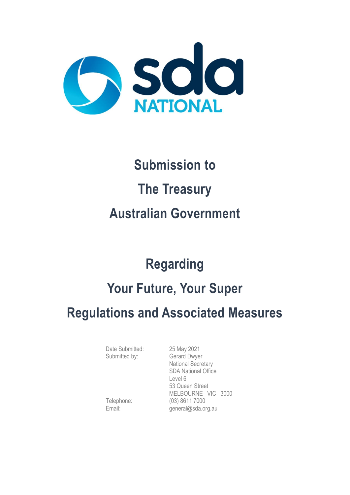

# **Submission to The Treasury Australian Government**

## **Regarding**

## **Your Future, Your Super**

### **Regulations and Associated Measures**

Date Submitted: 25 May 2021 Submitted by: Gerard Dwyer

National Secretary SDA National Office Level 6 53 Queen Street MELBOURNE VIC 3000 Telephone: (03) 8611 7000 Email: general@sda.org.au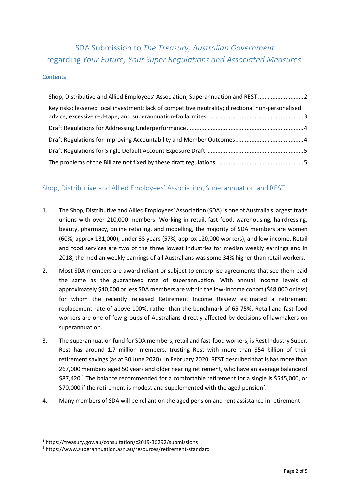### SDA Submission to *The Treasury, Australian Government* regarding *Your Future, Your Super Regulations and Associated Measures*.

#### **Contents**

| Shop, Distributive and Allied Employees' Association, Superannuation and REST                      |  |
|----------------------------------------------------------------------------------------------------|--|
| Key risks: lessened local investment; lack of competitive neutrality; directional non-personalised |  |
|                                                                                                    |  |
|                                                                                                    |  |
|                                                                                                    |  |
|                                                                                                    |  |

#### <span id="page-1-0"></span>Shop, Distributive and Allied Employees' Association, Superannuation and REST

- 1. The Shop, Distributive and Allied Employees' Association (SDA) is one of Australia's largest trade unions with over 210,000 members. Working in retail, fast food, warehousing, hairdressing, beauty, pharmacy, online retailing, and modelling, the majority of SDA members are women (60%, approx 131,000), under 35 years (57%, approx 120,000 workers), and low-income. Retail and food services are two of the three lowest industries for median weekly earnings and in 2018, the median weekly earnings of all Australians was some 34% higher than retail workers.
- 2. Most SDA members are award reliant or subject to enterprise agreements that see them paid the same as the guaranteed rate of superannuation. With annual income levels of approximately \$40,000 or less SDA members are within the low-income cohort (\$48,000 or less) for whom the recently released Retirement Income Review estimated a retirement replacement rate of above 100%, rather than the benchmark of 65-75%. Retail and fast food workers are one of few groups of Australians directly affected by decisions of lawmakers on superannuation.
- 3. The superannuation fund for SDA members, retail and fast-food workers, is Rest Industry Super. Rest has around 1.7 million members, trusting Rest with more than \$54 billion of their retirement savings (as at 30 June 2020). In February 2020, REST described that is has more than 267,000 members aged 50 years and older nearing retirement, who have an average balance of \$87,420.<sup>1</sup> The balance recommended for a comfortable retirement for a single is \$545,000, or \$70,000 if the retirement is modest and supplemented with the aged pension<sup>2</sup>.
- 4. Many members of SDA will be reliant on the aged pension and rent assistance in retirement.

<sup>1</sup> https://treasury.gov.au/consultation/c2019-36292/submissions

<sup>2</sup> https://www.superannuation.asn.au/resources/retirement-standard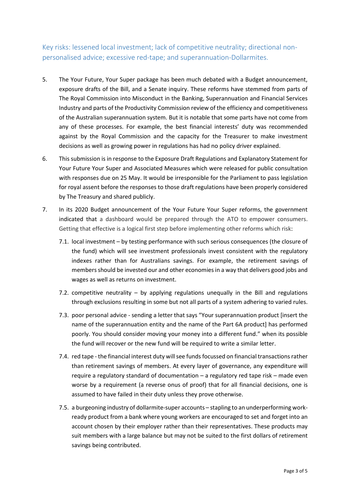<span id="page-2-0"></span>Key risks: lessened local investment; lack of competitive neutrality; directional nonpersonalised advice; excessive red-tape; and superannuation-Dollarmites.

- 5. The Your Future, Your Super package has been much debated with a Budget announcement, exposure drafts of the Bill, and a Senate inquiry. These reforms have stemmed from parts of The Royal Commission into Misconduct in the Banking, Superannuation and Financial Services Industry and parts of the Productivity Commission review of the efficiency and competitiveness of the Australian superannuation system. But it is notable that some parts have not come from any of these processes. For example, the best financial interests' duty was recommended against by the Royal Commission and the capacity for the Treasurer to make investment decisions as well as growing power in regulations has had no policy driver explained.
- 6. This submission is in response to the Exposure Draft Regulations and Explanatory Statement for Your Future Your Super and Associated Measures which were released for public consultation with responses due on 25 May. It would be irresponsible for the Parliament to pass legislation for royal assent before the responses to those draft regulations have been properly considered by The Treasury and shared publicly.
- 7. In its 2020 Budget announcement of the Your Future Your Super reforms, the government indicated that a dashboard would be prepared through the ATO to empower consumers. Getting that effective is a logical first step before implementing other reforms which risk:
	- 7.1. local investment by testing performance with such serious consequences (the closure of the fund) which will see investment professionals invest consistent with the regulatory indexes rather than for Australians savings. For example, the retirement savings of members should be invested our and other economies in a way that delivers good jobs and wages as well as returns on investment.
	- 7.2. competitive neutrality  $-$  by applying regulations unequally in the Bill and regulations through exclusions resulting in some but not all parts of a system adhering to varied rules.
	- 7.3. poor personal advice sending a letter that says "Your superannuation product [insert the name of the superannuation entity and the name of the Part 6A product] has performed poorly. You should consider moving your money into a different fund." when its possible the fund will recover or the new fund will be required to write a similar letter.
	- 7.4. red tape the financial interest duty will see funds focussed on financial transactions rather than retirement savings of members. At every layer of governance, any expenditure will require a regulatory standard of documentation – a regulatory red tape risk – made even worse by a requirement (a reverse onus of proof) that for all financial decisions, one is assumed to have failed in their duty unless they prove otherwise.
	- 7.5. a burgeoning industry of dollarmite-super accounts stapling to an underperforming workready product from a bank where young workers are encouraged to set and forget into an account chosen by their employer rather than their representatives. These products may suit members with a large balance but may not be suited to the first dollars of retirement savings being contributed.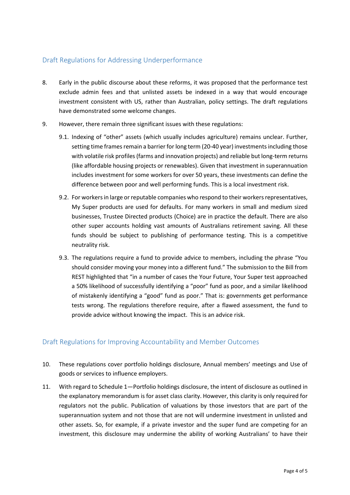#### <span id="page-3-0"></span>Draft Regulations for Addressing Underperformance

- 8. Early in the public discourse about these reforms, it was proposed that the performance test exclude admin fees and that unlisted assets be indexed in a way that would encourage investment consistent with US, rather than Australian, policy settings. The draft regulations have demonstrated some welcome changes.
- 9. However, there remain three significant issues with these regulations:
	- 9.1. Indexing of "other" assets (which usually includes agriculture) remains unclear. Further, setting time frames remain a barrier for long term (20-40 year) investments including those with volatile risk profiles (farms and innovation projects) and reliable but long-term returns (like affordable housing projects or renewables). Given that investment in superannuation includes investment for some workers for over 50 years, these investments can define the difference between poor and well performing funds. This is a local investment risk.
	- 9.2. For workers in large or reputable companies who respond to their workers representatives, My Super products are used for defaults. For many workers in small and medium sized businesses, Trustee Directed products (Choice) are in practice the default. There are also other super accounts holding vast amounts of Australians retirement saving. All these funds should be subject to publishing of performance testing. This is a competitive neutrality risk.
	- 9.3. The regulations require a fund to provide advice to members, including the phrase "You should consider moving your money into a different fund." The submission to the Bill from REST highlighted that "in a number of cases the Your Future, Your Super test approached a 50% likelihood of successfully identifying a "poor" fund as poor, and a similar likelihood of mistakenly identifying a "good" fund as poor." That is: governments get performance tests wrong. The regulations therefore require, after a flawed assessment, the fund to provide advice without knowing the impact. This is an advice risk.

#### <span id="page-3-1"></span>Draft Regulations for Improving Accountability and Member Outcomes

- 10. These regulations cover portfolio holdings disclosure, Annual members' meetings and Use of goods or services to influence employers.
- 11. With regard to Schedule 1—Portfolio holdings disclosure, the intent of disclosure as outlined in the explanatory memorandum is for asset class clarity. However, this clarity is only required for regulators not the public. Publication of valuations by those investors that are part of the superannuation system and not those that are not will undermine investment in unlisted and other assets. So, for example, if a private investor and the super fund are competing for an investment, this disclosure may undermine the ability of working Australians' to have their